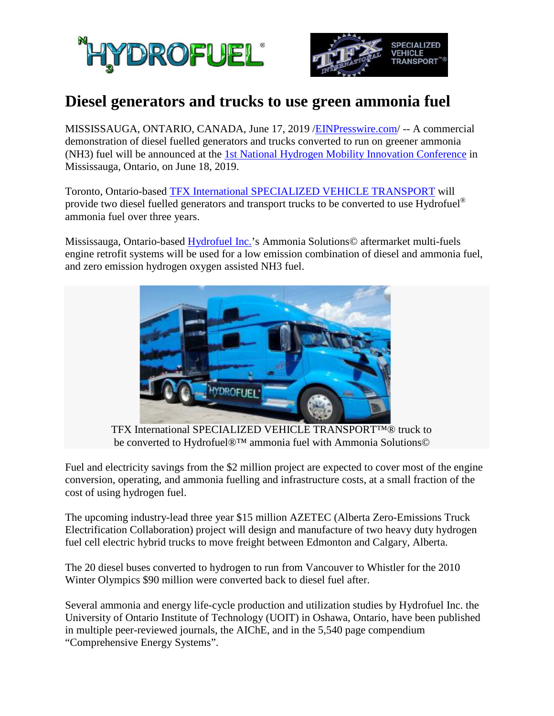



## **Diesel generators and trucks to use green ammonia fuel**

MISSISSAUGA, ONTARIO, CANADA, June 17, 2019 [/EINPresswire.com/](http://www.einpresswire.com/) -- A commercial demonstration of diesel fuelled generators and trucks converted to run on greener ammonia (NH3) fuel will be announced at the [1st National Hydrogen Mobility Innovation Conference](http://cutric-crituc.org/hydrogen) in Mississauga, Ontario, on June 18, 2019.

Toronto, Ontario-based [TFX International SPECIALIZED VEHICLE TRANSPORT](http://www.tfxinternational.com/) will provide two diesel fuelled generators and transport trucks to be converted to use Hydrofuel<sup>®</sup> ammonia fuel over three years.

Mississauga, Ontario-based [Hydrofuel Inc.'](http://nh3fuel.com/)s Ammonia Solutions© aftermarket multi-fuels engine retrofit systems will be used for a low emission combination of diesel and ammonia fuel, and zero emission hydrogen oxygen assisted NH3 fuel.



 TFX International SPECIALIZED VEHICLE TRANSPORT™® truck to be converted to Hydrofuel®™ ammonia fuel with Ammonia Solutions©

Fuel and electricity savings from the \$2 million project are expected to cover most of the engine conversion, operating, and ammonia fuelling and infrastructure costs, at a small fraction of the cost of using hydrogen fuel.

The upcoming industry-lead three year \$15 million AZETEC (Alberta Zero-Emissions Truck Electrification Collaboration) project will design and manufacture of two heavy duty hydrogen fuel cell electric hybrid trucks to move freight between Edmonton and Calgary, Alberta.

The 20 diesel buses converted to hydrogen to run from Vancouver to Whistler for the 2010 Winter Olympics \$90 million were converted back to diesel fuel after.

Several ammonia and energy life-cycle production and utilization studies by Hydrofuel Inc. the University of Ontario Institute of Technology (UOIT) in Oshawa, Ontario, have been published in multiple peer-reviewed journals, the AIChE, and in the 5,540 page compendium "Comprehensive Energy Systems".